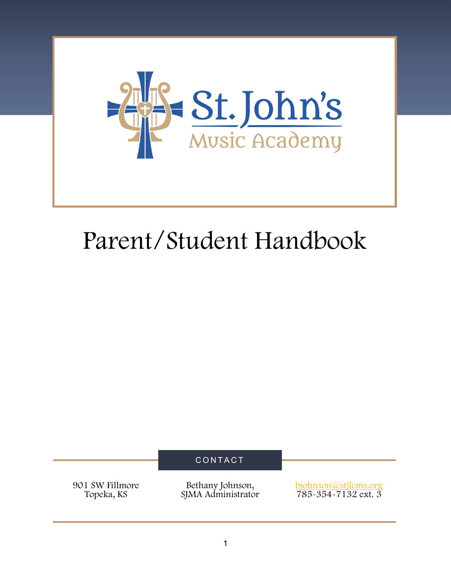

# Parent/Student Handbook

CONTACT

901 SW Fillmore Topeka, KS

Bethany Johnson, SJMA Administrator bjohnson@stjlcms.org 785-354-7132 ext. 3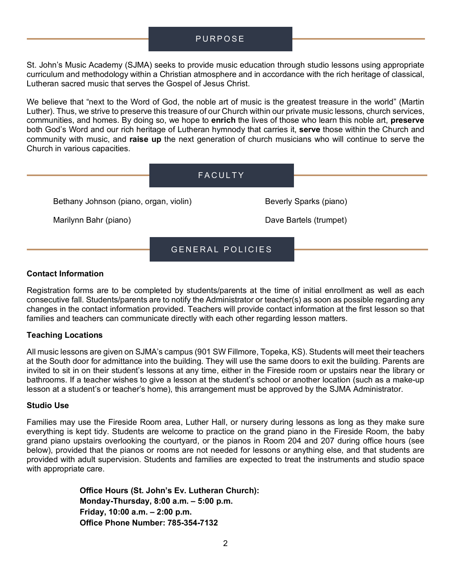# PURPOSE

St. John's Music Academy (SJMA) seeks to provide music education through studio lessons using appropriate curriculum and methodology within a Christian atmosphere and in accordance with the rich heritage of classical, Lutheran sacred music that serves the Gospel of Jesus Christ.

We believe that "next to the Word of God, the noble art of music is the greatest treasure in the world" (Martin Luther). Thus, we strive to preserve this treasure of our Church within our private music lessons, church services, communities, and homes. By doing so, we hope to **enrich** the lives of those who learn this noble art, **preserve** both God's Word and our rich heritage of Lutheran hymnody that carries it, **serve** those within the Church and community with music, and **raise up** the next generation of church musicians who will continue to serve the Church in various capacities.

|                                        | FACULTY          |                        |
|----------------------------------------|------------------|------------------------|
| Bethany Johnson (piano, organ, violin) |                  | Beverly Sparks (piano) |
| Marilynn Bahr (piano)                  |                  | Dave Bartels (trumpet) |
|                                        | GENERAL POLICIES |                        |

#### **Contact Information**

Registration forms are to be completed by students/parents at the time of initial enrollment as well as each consecutive fall. Students/parents are to notify the Administrator or teacher(s) as soon as possible regarding any changes in the contact information provided. Teachers will provide contact information at the first lesson so that families and teachers can communicate directly with each other regarding lesson matters.

#### **Teaching Locations**

All music lessons are given on SJMA's campus (901 SW Fillmore, Topeka, KS). Students will meet their teachers at the South door for admittance into the building. They will use the same doors to exit the building. Parents are invited to sit in on their student's lessons at any time, either in the Fireside room or upstairs near the library or bathrooms. If a teacher wishes to give a lesson at the student's school or another location (such as a make-up lesson at a student's or teacher's home), this arrangement must be approved by the SJMA Administrator.

#### **Studio Use**

Families may use the Fireside Room area, Luther Hall, or nursery during lessons as long as they make sure everything is kept tidy. Students are welcome to practice on the grand piano in the Fireside Room, the baby grand piano upstairs overlooking the courtyard, or the pianos in Room 204 and 207 during office hours (see below), provided that the pianos or rooms are not needed for lessons or anything else, and that students are provided with adult supervision. Students and families are expected to treat the instruments and studio space with appropriate care.

> **Office Hours (St. John's Ev. Lutheran Church): Monday-Thursday, 8:00 a.m. – 5:00 p.m. Friday, 10:00 a.m. – 2:00 p.m. Office Phone Number: 785-354-7132**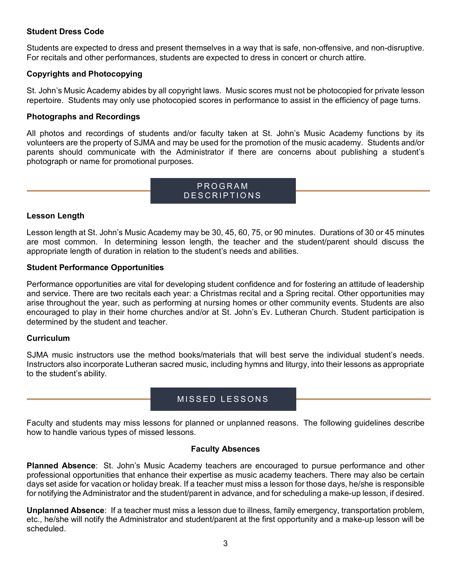## **Student Dress Code**

Students are expected to dress and present themselves in a way that is safe, non-offensive, and non-disruptive. For recitals and other performances, students are expected to dress in concert or church attire.

#### **Copyrights and Photocopying**

St. John's Music Academy abides by all copyright laws. Music scores must not be photocopied for private lesson repertoire. Students may only use photocopied scores in performance to assist in the efficiency of page turns.

#### **Photographs and Recordings**

All photos and recordings of students and/or faculty taken at St. John's Music Academy functions by its volunteers are the property of SJMA and may be used for the promotion of the music academy. Students and/or parents should communicate with the Administrator if there are concerns about publishing a student's photograph or name for promotional purposes.

# PROGRAM DESCRIPTIONS

## **Lesson Length**

Lesson length at St. John's Music Academy may be 30, 45, 60, 75, or 90 minutes. Durations of 30 or 45 minutes are most common. In determining lesson length, the teacher and the student/parent should discuss the appropriate length of duration in relation to the student's needs and abilities.

#### **Student Performance Opportunities**

Performance opportunities are vital for developing student confidence and for fostering an attitude of leadership and service. There are two recitals each year: a Christmas recital and a Spring recital. Other opportunities may arise throughout the year, such as performing at nursing homes or other community events. Students are also encouraged to play in their home churches and/or at St. John's Ev. Lutheran Church. Student participation is determined by the student and teacher.

#### **Curriculum**

SJMA music instructors use the method books/materials that will best serve the individual student's needs. Instructors also incorporate Lutheran sacred music, including hymns and liturgy, into their lessons as appropriate to the student's ability.

# MISSED LESSONS

Faculty and students may miss lessons for planned or unplanned reasons. The following guidelines describe how to handle various types of missed lessons.

#### **Faculty Absences**

**Planned Absence**: St. John's Music Academy teachers are encouraged to pursue performance and other professional opportunities that enhance their expertise as music academy teachers. There may also be certain days set aside for vacation or holiday break. If a teacher must miss a lesson for those days, he/she is responsible for notifying the Administrator and the student/parent in advance, and for scheduling a make-up lesson, if desired.

**Unplanned Absence**: If a teacher must miss a lesson due to illness, family emergency, transportation problem, etc., he/she will notify the Administrator and student/parent at the first opportunity and a make-up lesson will be scheduled.